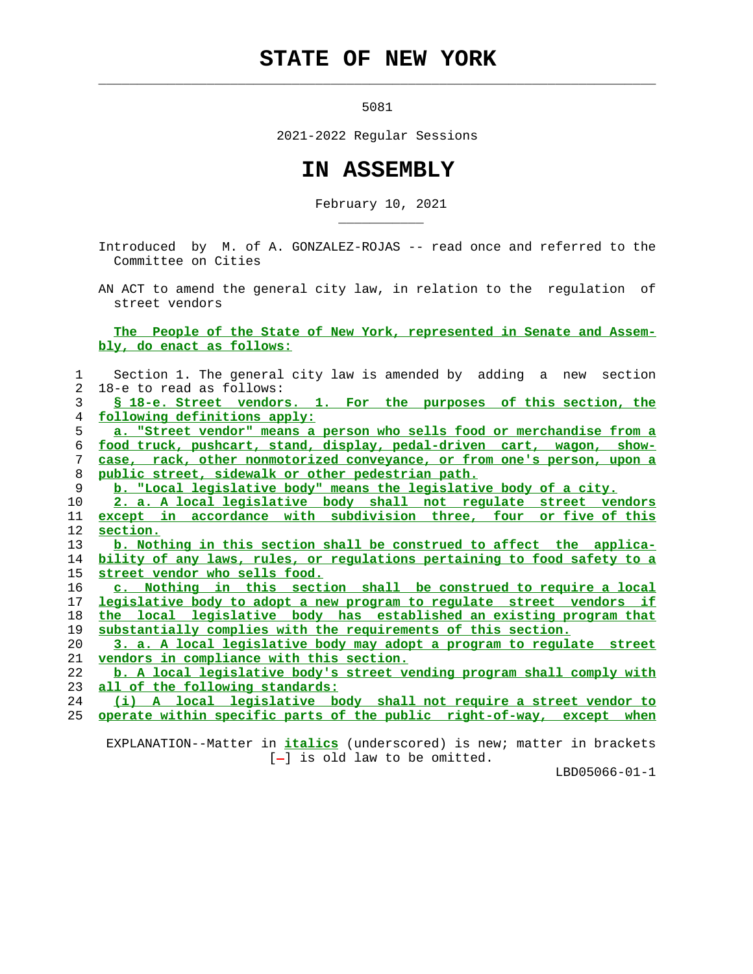## **STATE OF NEW YORK**

 $\mathcal{L}_\text{max} = \frac{1}{2} \sum_{i=1}^{n} \frac{1}{2} \sum_{i=1}^{n} \frac{1}{2} \sum_{i=1}^{n} \frac{1}{2} \sum_{i=1}^{n} \frac{1}{2} \sum_{i=1}^{n} \frac{1}{2} \sum_{i=1}^{n} \frac{1}{2} \sum_{i=1}^{n} \frac{1}{2} \sum_{i=1}^{n} \frac{1}{2} \sum_{i=1}^{n} \frac{1}{2} \sum_{i=1}^{n} \frac{1}{2} \sum_{i=1}^{n} \frac{1}{2} \sum_{i=1}^{n} \frac{1$ 

\_\_\_\_\_\_\_\_\_\_\_

5081

2021-2022 Regular Sessions

## **IN ASSEMBLY**

February 10, 2021

 Introduced by M. of A. GONZALEZ-ROJAS -- read once and referred to the Committee on Cities

 AN ACT to amend the general city law, in relation to the regulation of street vendors

 **The People of the State of New York, represented in Senate and Assem bly, do enact as follows:**

| 1              | Section 1. The general city law is amended by adding a new section           |
|----------------|------------------------------------------------------------------------------|
| $\overline{a}$ | 18-e to read as follows:                                                     |
| 3              | S 18-e. Street vendors. 1. For the purposes of this section, the             |
| 4              | following definitions apply:                                                 |
| 5              | a. "Street vendor" means a person who sells food or merchandise from a       |
| 6              | food truck, pushcart, stand, display, pedal-driven cart, wagon, show-        |
| 7              | case, rack, other nonmotorized conveyance, or from one's person, upon a      |
| 8              | public street, sidewalk or other pedestrian path.                            |
| 9              | b. "Local legislative body" means the legislative body of a city.            |
| 10             | 2. a. A local legislative body shall not regulate street vendors             |
| 11             | except in accordance with subdivision three, four or five of this            |
| 12             | section.                                                                     |
| 13             | b. Nothing in this section shall be construed to affect the applica-         |
| 14             | bility of any laws, rules, or regulations pertaining to food safety to a     |
| 15             | street vendor who sells food.                                                |
| 16             | c. Nothing in this section shall be construed to require a local             |
| 17             | <u>legislative body to adopt a new program to regulate street vendors if</u> |
| 18             | the local legislative body has established an existing program that          |
| 19             | substantially complies with the requirements of this section.                |
| $20 \,$        | 3. a. A local legislative body may adopt a program to regulate street        |
| 21             | vendors in compliance with this section.                                     |
| 22             | b. A local legislative body's street vending program shall comply with       |
| 23             | all of the following standards:                                              |
| 24             | (i) A local legislative body shall not require a street vendor to            |
| 25             | operate within specific parts of the public right-of-way, except when        |
|                |                                                                              |

 EXPLANATION--Matter in **italics** (underscored) is new; matter in brackets  $[-]$  is old law to be omitted.

LBD05066-01-1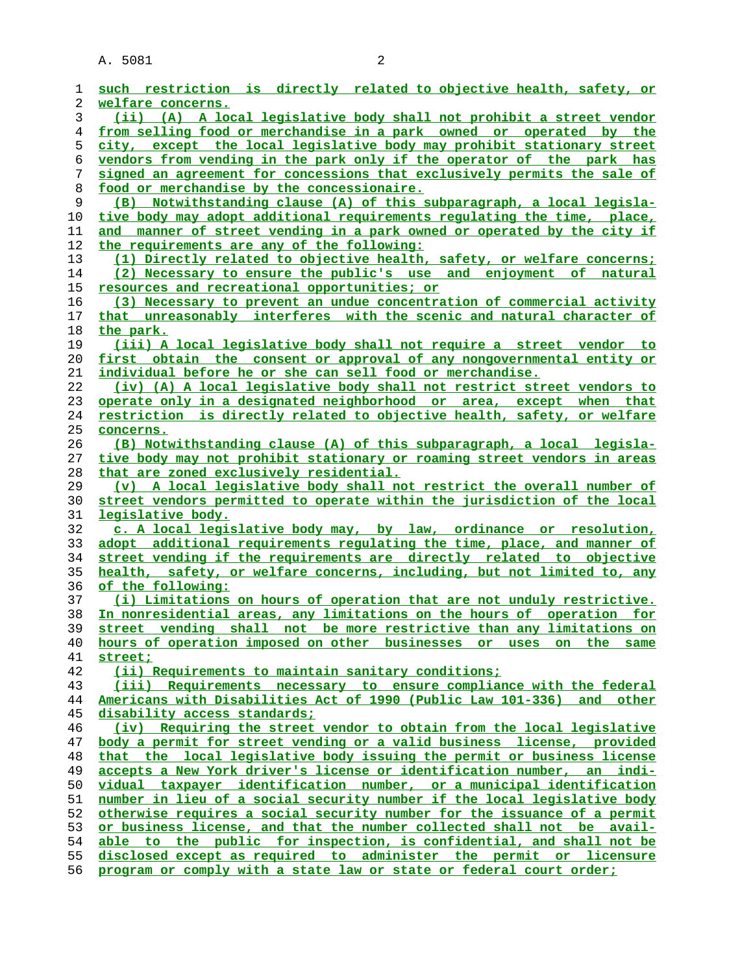| 1  | such restriction is directly related to objective health, safety, or       |
|----|----------------------------------------------------------------------------|
| 2  | welfare concerns.                                                          |
| 3  | (ii) (A) A local legislative body shall not prohibit a street vendor       |
| 4  | <u>from selling food or merchandise in a park owned or operated by the</u> |
| 5  | city, except the local legislative body may prohibit stationary street     |
| 6  | vendors from vending in the park only if the operator of the park has      |
| 7  | signed an agreement for concessions that exclusively permits the sale of   |
| 8  | food or merchandise by the concessionaire.                                 |
| 9  | (B) Notwithstanding clause (A) of this subparagraph, a local legisla-      |
| 10 | tive body may adopt additional requirements requlating the time, place,    |
| 11 | and manner of street vending in a park owned or operated by the city if    |
| 12 | the requirements are any of the following:                                 |
| 13 | (1) Directly related to objective health, safety, or welfare concerns;     |
| 14 | (2) Necessary to ensure the public's use and enjoyment of natural          |
| 15 | resources and recreational opportunities; or                               |
| 16 | (3) Necessary to prevent an undue concentration of commercial activity     |
| 17 | that unreasonably interferes with the scenic and natural character of      |
| 18 | the park.                                                                  |
| 19 | (iii) A local legislative body shall not require a street vendor to        |
| 20 | first obtain the consent or approval of any nongovernmental entity or      |
| 21 | individual before he or she can sell food or merchandise.                  |
| 22 | (iv) (A) A local legislative body shall not restrict street vendors to     |
| 23 | operate only in a designated neighborhood or area, except when that        |
| 24 | restriction is directly related to objective health, safety, or welfare    |
| 25 | concerns.                                                                  |
| 26 | (B) Notwithstanding clause (A) of this subparagraph, a local legisla-      |
| 27 | tive body may not prohibit stationary or roaming street vendors in areas   |
| 28 |                                                                            |
|    | that are zoned exclusively residential.                                    |
| 29 | (v) A local legislative body shall not restrict the overall number of      |
| 30 | street vendors permitted to operate within the jurisdiction of the local   |
| 31 | legislative body.                                                          |
| 32 | c. A local legislative body may, by law, ordinance or resolution,          |
| 33 | adopt additional requirements regulating the time, place, and manner of    |
| 34 | street vending if the requirements are directly related to objective       |
| 35 | health, safety, or welfare concerns, including, but not limited to, any    |
| 36 | of the following:                                                          |
| 37 | (i) Limitations on hours of operation that are not unduly restrictive.     |
| 38 | In nonresidential areas, any limitations on the hours of operation for     |
| 39 | street vending shall not be more restrictive than any limitations on       |
| 40 | hours of operation imposed on other businesses or uses on the same         |
| 41 | street;                                                                    |
| 42 | (ii) Requirements to maintain sanitary conditions;                         |
| 43 | (iii) Requirements necessary to ensure compliance with the federal         |
| 44 | Americans with Disabilities Act of 1990 (Public Law 101-336) and other     |
| 45 | disability access standards;                                               |
| 46 | (iv) Requiring the street vendor to obtain from the local legislative      |
| 47 | body a permit for street vending or a valid business license, provided     |
| 48 | that the local legislative body issuing the permit or business license     |
| 49 | accepts a New York driver's license or identification number, an indi-     |
| 50 | vidual taxpayer identification number, or a municipal identification       |
| 51 | number in lieu of a social security number if the local legislative body   |
| 52 | otherwise requires a social security number for the issuance of a permit   |
| 53 | or business license, and that the number collected shall not be avail-     |
| 54 | able to the public for inspection, is confidential, and shall not be       |
| 55 | disclosed except as required to administer the permit or licensure         |
| 56 | program or comply with a state law or state or federal court order;        |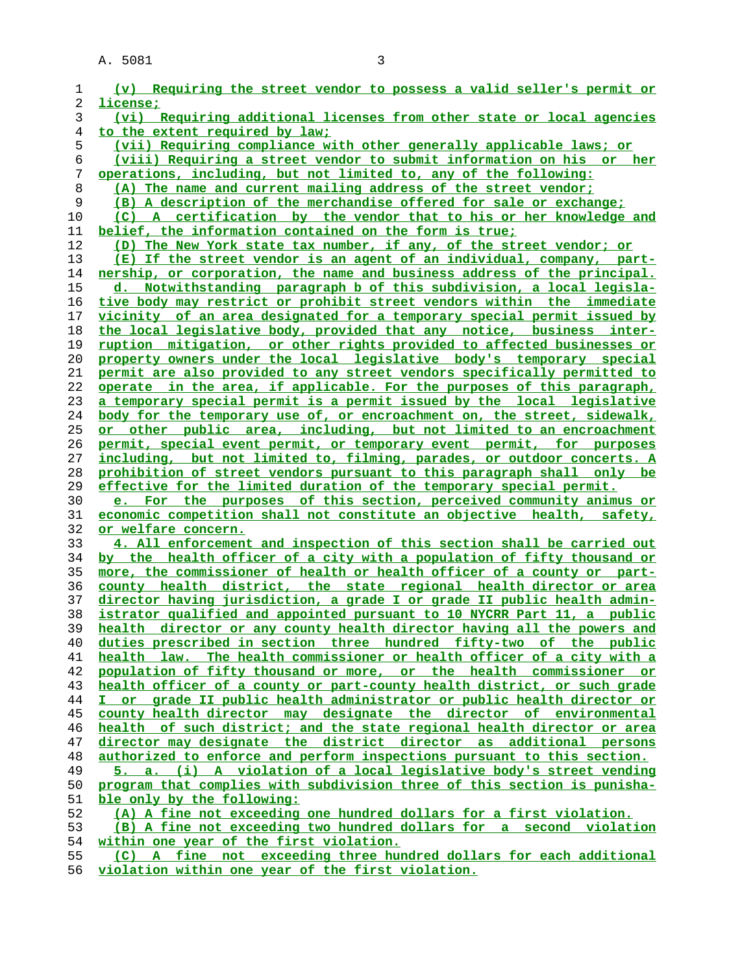| 1  | (v) Requiring the street vendor to possess a valid seller's permit or    |
|----|--------------------------------------------------------------------------|
| 2  | license;                                                                 |
| 3  | (vi) Requiring additional licenses from other state or local agencies    |
| 4  | to the extent required by law;                                           |
| 5  | (vii) Requiring compliance with other generally applicable laws; or      |
| 6  | (viii) Requiring a street vendor to submit information on his or her     |
| 7  | operations, including, but not limited to, any of the following:         |
| 8  | (A) The name and current mailing address of the street vendor;           |
| 9  | (B) A description of the merchandise offered for sale or exchange;       |
| 10 | (C) A certification by the vendor that to his or her knowledge and       |
| 11 | belief, the information contained on the form is true;                   |
| 12 | (D) The New York state tax number, if any, of the street vendor; or      |
| 13 | (E) If the street vendor is an agent of an individual, company, part-    |
| 14 | nership, or corporation, the name and business address of the principal. |
| 15 | d. Notwithstanding paragraph b of this subdivision, a local legisla-     |
| 16 | tive body may restrict or prohibit street vendors within the immediate   |
| 17 | vicinity of an area designated for a temporary special permit issued by  |
| 18 | the local legislative body, provided that any notice, business inter-    |
| 19 | ruption mitigation, or other rights provided to affected businesses or   |
| 20 | property owners under the local legislative body's temporary special     |
| 21 | permit are also provided to any street vendors specifically permitted to |
| 22 | operate in the area, if applicable. For the purposes of this paragraph,  |
| 23 | a temporary special permit is a permit issued by the local legislative   |
| 24 | body for the temporary use of, or encroachment on, the street, sidewalk, |
| 25 | or other public area, including, but not limited to an encroachment      |
| 26 | permit, special event permit, or temporary event permit, for purposes    |
| 27 | including, but not limited to, filming, parades, or outdoor concerts. A  |
| 28 | prohibition of street vendors pursuant to this paragraph shall only be   |
| 29 | effective for the limited duration of the temporary special permit.      |
| 30 | e. For the purposes of this section, perceived community animus or       |
| 31 | economic competition shall not constitute an objective health, safety,   |
| 32 | or welfare concern.                                                      |
| 33 | 4. All enforcement and inspection of this section shall be carried out   |
| 34 | by the health officer of a city with a population of fifty thousand or   |
| 35 | more, the commissioner of health or health officer of a county or part-  |
| 36 | county health district, the state regional health director or area       |
| 37 | director having jurisdiction, a grade I or grade II public health admin- |
| 38 | istrator qualified and appointed pursuant to 10 NYCRR Part 11, a public  |
| 39 | health director or any county health director having all the powers and  |
| 40 | duties prescribed in section three hundred fifty-two of the public       |
| 41 | health law. The health commissioner or health officer of a city with a   |
| 42 | population of fifty thousand or more, or the health commissioner or      |
| 43 | health officer of a county or part-county health district, or such grade |
| 44 | I or grade II public health administrator or public health director or   |
| 45 | county health director may designate the director of environmental       |
| 46 | health of such district; and the state regional health director or area  |
| 47 | director may designate the district director as additional persons       |
| 48 | authorized to enforce and perform inspections pursuant to this section.  |
| 49 | 5. a. (i) A violation of a local legislative body's street vending       |
| 50 | program that complies with subdivision three of this section is punisha- |
| 51 | ble only by the following:                                               |
| 52 | (A) A fine not exceeding one hundred dollars for a first violation.      |
| 53 | (B) A fine not exceeding two hundred dollars for a second violation      |
| 54 | within one year of the first violation.                                  |
| 55 | (C) A fine not exceeding three hundred dollars for each additional       |

**violation within one year of the first violation.**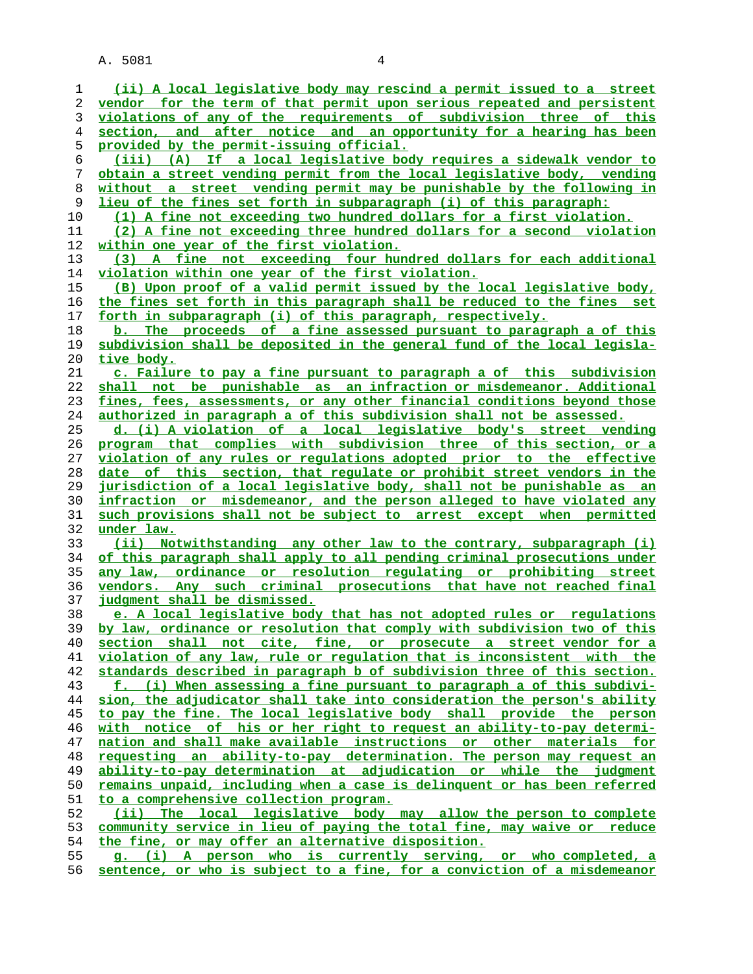**(ii) A local legislative body may rescind a permit issued to a street vendor for the term of that permit upon serious repeated and persistent violations of any of the requirements of subdivision three of this section, and after notice and an opportunity for a hearing has been provided by the permit-issuing official. (iii) (A) If a local legislative body requires a sidewalk vendor to obtain a street vending permit from the local legislative body, vending without a street vending permit may be punishable by the following in lieu of the fines set forth in subparagraph (i) of this paragraph: (1) A fine not exceeding two hundred dollars for a first violation. (2) A fine not exceeding three hundred dollars for a second violation within one year of the first violation. (3) A fine not exceeding four hundred dollars for each additional** violation within one year of the first violation. **(B) Upon proof of a valid permit issued by the local legislative body, the fines set forth in this paragraph shall be reduced to the fines set forth in subparagraph (i) of this paragraph, respectively. b. The proceeds of a fine assessed pursuant to paragraph a of this subdivision shall be deposited in the general fund of the local legisla- tive body. c. Failure to pay a fine pursuant to paragraph a of this subdivision shall not be punishable as an infraction or misdemeanor. Additional fines, fees, assessments, or any other financial conditions beyond those authorized in paragraph a of this subdivision shall not be assessed. d. (i) A violation of a local legislative body's street vending program that complies with subdivision three of this section, or a violation of any rules or regulations adopted prior to the effective date of this section, that regulate or prohibit street vendors in the jurisdiction of a local legislative body, shall not be punishable as an infraction or misdemeanor, and the person alleged to have violated any such provisions shall not be subject to arrest except when permitted under law. (ii) Notwithstanding any other law to the contrary, subparagraph (i) of this paragraph shall apply to all pending criminal prosecutions under any law, ordinance or resolution regulating or prohibiting street vendors. Any such criminal prosecutions that have not reached final judgment shall be dismissed. e. A local legislative body that has not adopted rules or regulations by law, ordinance or resolution that comply with subdivision two of this section shall not cite, fine, or prosecute a street vendor for a violation of any law, rule or regulation that is inconsistent with the standards described in paragraph b of subdivision three of this section. f. (i) When assessing a fine pursuant to paragraph a of this subdivi- sion, the adjudicator shall take into consideration the person's ability to pay the fine. The local legislative body shall provide the person with notice of his or her right to request an ability-to-pay determi- nation and shall make available instructions or other materials for requesting an ability-to-pay determination. The person may request an ability-to-pay determination at adjudication or while the judgment remains unpaid, including when a case is delinquent or has been referred to a comprehensive collection program. (ii) The local legislative body may allow the person to complete community service in lieu of paying the total fine, may waive or reduce the fine, or may offer an alternative disposition. g. (i) A person who is currently serving, or who completed, a sentence, or who is subject to a fine, for a conviction of a misdemeanor**